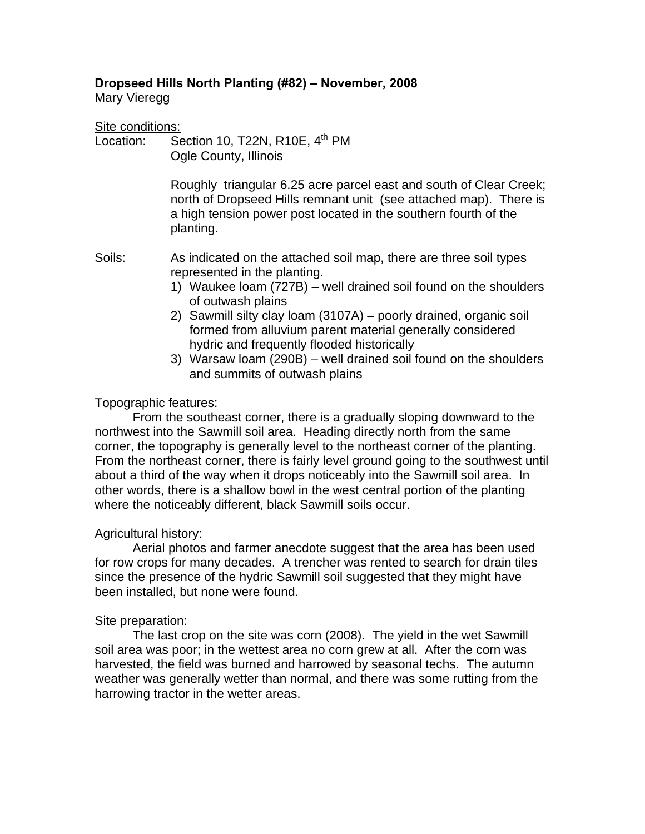# **Dropseed Hills North Planting (#82) – November, 2008**

Mary Vieregg

| Site conditions: |                                                                                                                                                                                                                                                                                                                              |
|------------------|------------------------------------------------------------------------------------------------------------------------------------------------------------------------------------------------------------------------------------------------------------------------------------------------------------------------------|
| Location:        | Section 10, T22N, R10E, 4 <sup>th</sup> PM<br>Ogle County, Illinois                                                                                                                                                                                                                                                          |
|                  | Roughly triangular 6.25 acre parcel east and south of Clear Creek;<br>north of Dropseed Hills remnant unit (see attached map). There is<br>a high tension power post located in the southern fourth of the<br>planting.                                                                                                      |
| Soils:           | As indicated on the attached soil map, there are three soil types<br>represented in the planting.<br>1) Waukee loam (727B) – well drained soil found on the shoulders<br>of outwash plains<br>2) Sawmill silty clay loam (3107A) – poorly drained, organic soil<br>formed from alluvium parent material generally considered |
|                  | hydric and frequently flooded historically                                                                                                                                                                                                                                                                                   |

3) Warsaw loam (290B) – well drained soil found on the shoulders and summits of outwash plains

# Topographic features:

 From the southeast corner, there is a gradually sloping downward to the northwest into the Sawmill soil area. Heading directly north from the same corner, the topography is generally level to the northeast corner of the planting. From the northeast corner, there is fairly level ground going to the southwest until about a third of the way when it drops noticeably into the Sawmill soil area. In other words, there is a shallow bowl in the west central portion of the planting where the noticeably different, black Sawmill soils occur.

# Agricultural history:

 Aerial photos and farmer anecdote suggest that the area has been used for row crops for many decades. A trencher was rented to search for drain tiles since the presence of the hydric Sawmill soil suggested that they might have been installed, but none were found.

## Site preparation:

 The last crop on the site was corn (2008). The yield in the wet Sawmill soil area was poor; in the wettest area no corn grew at all. After the corn was harvested, the field was burned and harrowed by seasonal techs. The autumn weather was generally wetter than normal, and there was some rutting from the harrowing tractor in the wetter areas.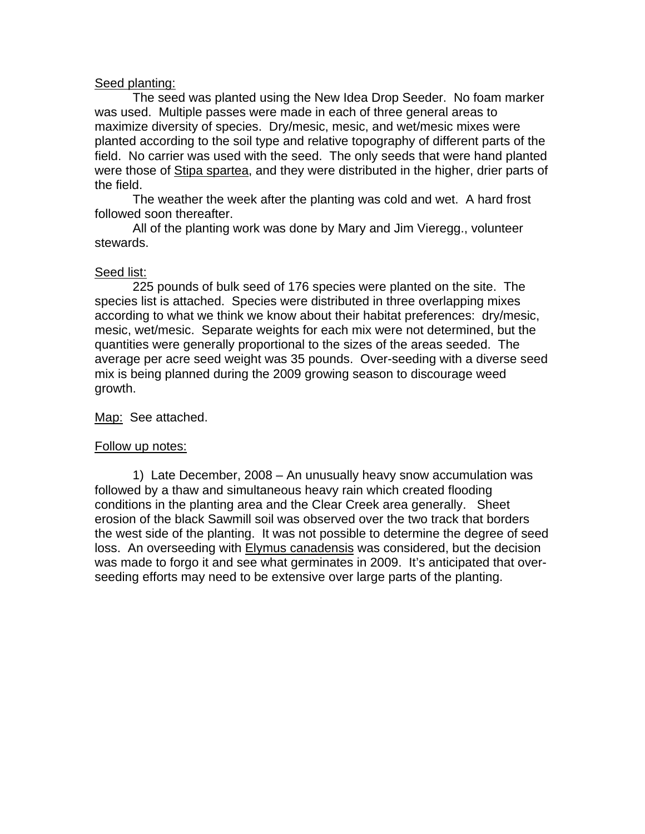## Seed planting:

 The seed was planted using the New Idea Drop Seeder. No foam marker was used. Multiple passes were made in each of three general areas to maximize diversity of species. Dry/mesic, mesic, and wet/mesic mixes were planted according to the soil type and relative topography of different parts of the field. No carrier was used with the seed. The only seeds that were hand planted were those of Stipa spartea, and they were distributed in the higher, drier parts of the field.

 The weather the week after the planting was cold and wet. A hard frost followed soon thereafter.

All of the planting work was done by Mary and Jim Vieregg., volunteer stewards.

# Seed list:

 225 pounds of bulk seed of 176 species were planted on the site. The species list is attached. Species were distributed in three overlapping mixes according to what we think we know about their habitat preferences: dry/mesic, mesic, wet/mesic. Separate weights for each mix were not determined, but the quantities were generally proportional to the sizes of the areas seeded. The average per acre seed weight was 35 pounds. Over-seeding with a diverse seed mix is being planned during the 2009 growing season to discourage weed growth.

Map: See attached.

# Follow up notes:

 1) Late December, 2008 – An unusually heavy snow accumulation was followed by a thaw and simultaneous heavy rain which created flooding conditions in the planting area and the Clear Creek area generally. Sheet erosion of the black Sawmill soil was observed over the two track that borders the west side of the planting. It was not possible to determine the degree of seed loss. An overseeding with Elymus canadensis was considered, but the decision was made to forgo it and see what germinates in 2009. It's anticipated that overseeding efforts may need to be extensive over large parts of the planting.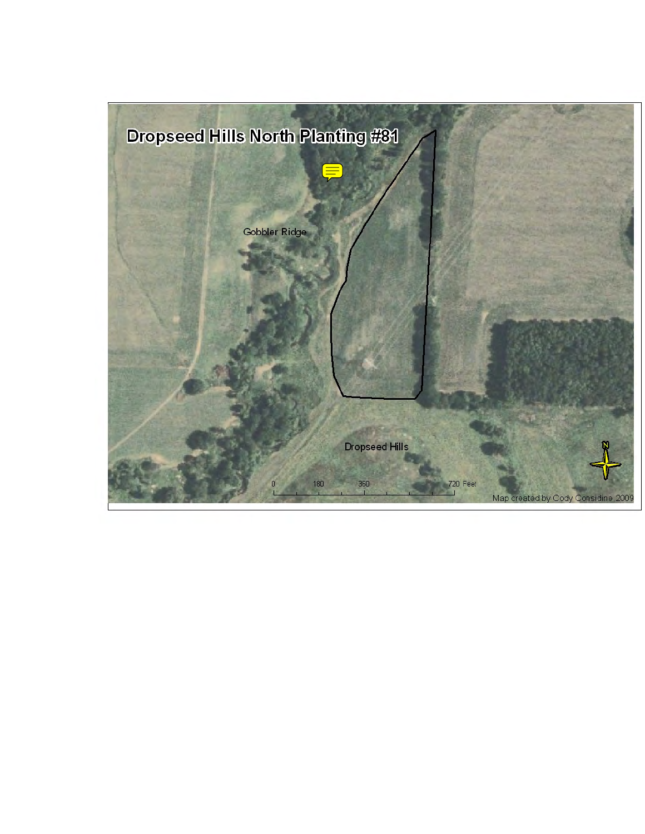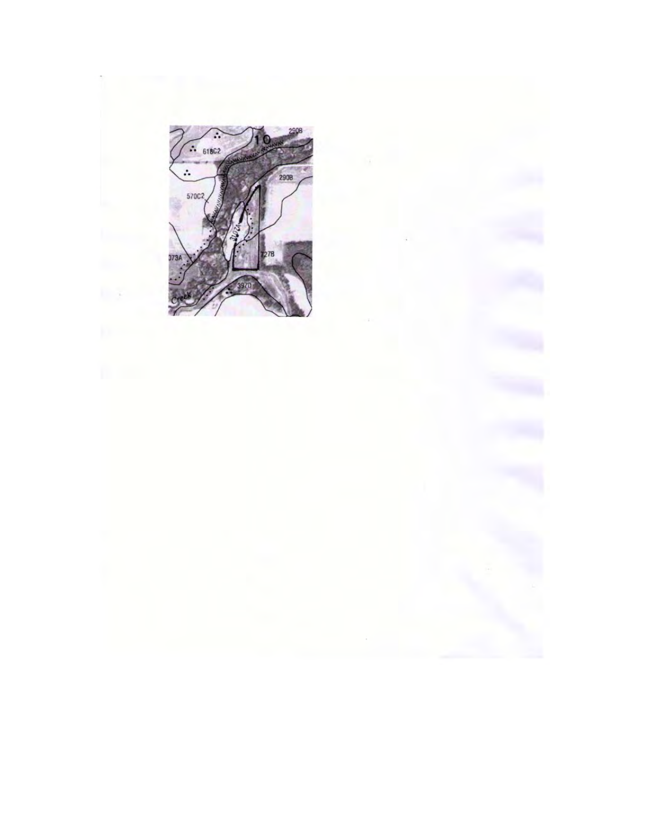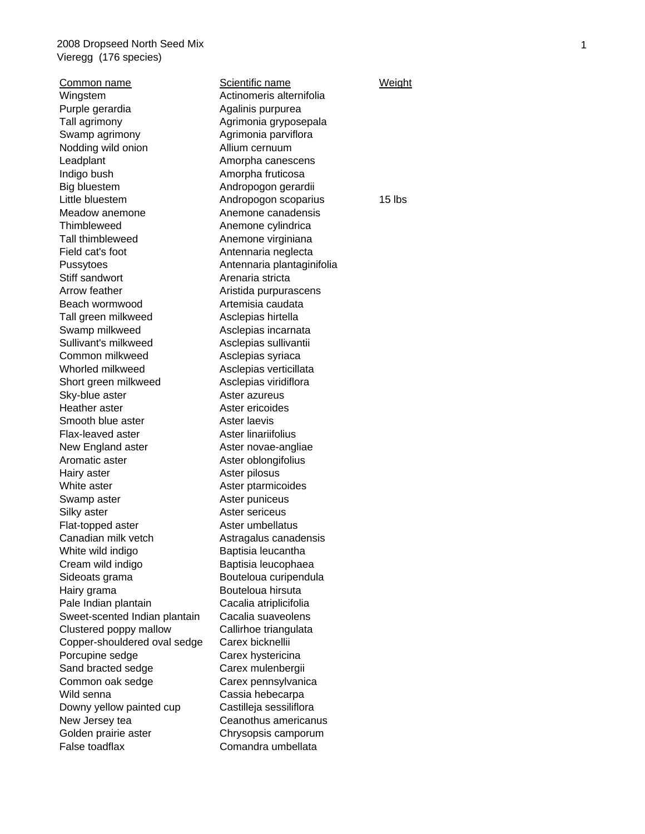Common name **Scientific name** Weight Wingstem **Actinomeris alternifolia** Purple gerardia and algorithm Agalinis purpurea Tall agrimony and agrimonia gryposepala Swamp agrimony **Agrimonia** parviflora Nodding wild onion **Allium cernuum** Leadplant **Amorpha canescens** Indigo bush **Amorpha fruticosa** Big bluestem **Andropogon gerardii** Little bluestem Andropogon scoparius 15 lbs Meadow anemone **Anemone** canadensis Thimbleweed **Anemone cylindrica** Tall thimbleweed **Anemone** virginiana Field cat's foot **Antennaria** neglecta Pussytoes **Antennaria plantaginifolia** Stiff sandwort **Arenaria stricta** Arrow feather **Aristida purpurascens** Beach wormwood Artemisia caudata Tall green milkweed Asclepias hirtella Swamp milkweed Asclepias incarnata Sullivant's milkweed Asclepias sullivantii Common milkweed Asclepias syriaca Whorled milkweed Asclepias verticillata Short green milkweed Asclepias viridiflora Sky-blue aster **Aster azureus** Heather aster **Aster ericoides** Smooth blue aster **Aster laevis** Flax-leaved aster **Aster Inacculated** Aster linariifolius New England aster **Aster novae-angliae** Aromatic aster **Aster oblongifolius** Hairy aster **Aster pilosus** White aster **Aster ptarmicoides** Swamp aster **Aster puniceus** Silky aster **Aster sericeus** Flat-topped aster **Aster umbellatus** Canadian milk vetch Astragalus canadensis White wild indigo Baptisia leucantha Cream wild indigo Baptisia leucophaea Sideoats grama Bouteloua curipendula Hairy grama **Bouteloua** hirsuta Pale Indian plantain Cacalia atriplicifolia Sweet-scented Indian plantain Cacalia suaveolens Clustered poppy mallow Callirhoe triangulata Copper-shouldered oval sedge Carex bicknellii Porcupine sedge Carex hystericina Sand bracted sedge Carex mulenbergii Common oak sedge Carex pennsylvanica Wild senna Cassia hebecarpa Downy yellow painted cup Castilleja sessiliflora New Jersey tea Ceanothus americanus Golden prairie aster Chrysopsis camporum False toadflax Comandra umbellata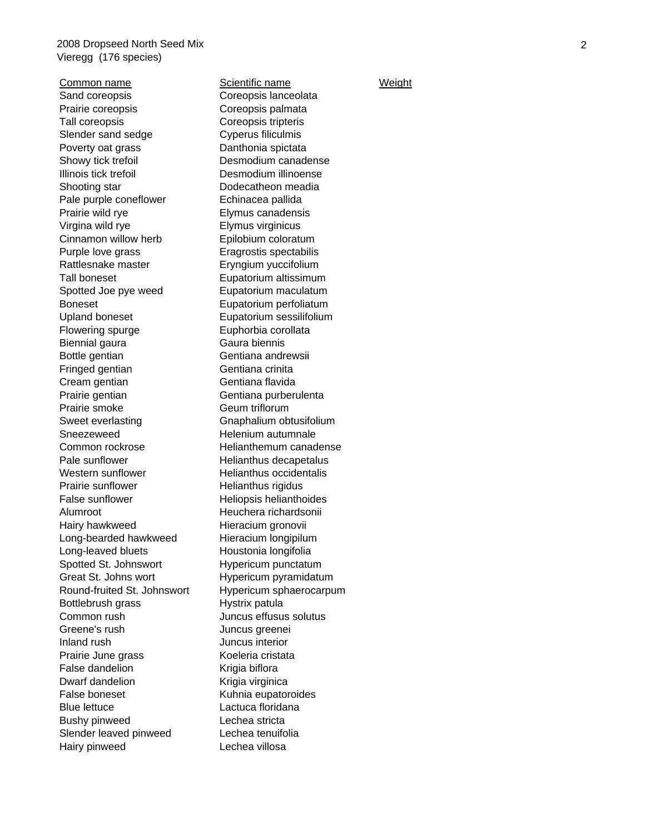Common name **Scientific name** Weight Sand coreopsis **Coreopsis Coreopsis** lanceolata Prairie coreopsis **Coreopsis palmata** Tall coreopsis Coreopsis tripteris Slender sand sedge Cyperus filiculmis Poverty oat grass Danthonia spictata Showy tick trefoil Desmodium canadense Illinois tick trefoil Desmodium illinoense Shooting star **Dodecatheon** meadia Pale purple coneflower Echinacea pallida Prairie wild rye **Elymus** canadensis Virgina wild rye Elymus virginicus Cinnamon willow herb Epilobium coloratum Purple love grass Eragrostis spectabilis Rattlesnake master Eryngium yuccifolium Tall boneset **Eupatorium** altissimum Spotted Joe pye weed Eupatorium maculatum Boneset **Eupatorium perfoliatum** Upland boneset Eupatorium sessilifolium Flowering spurge Euphorbia corollata Biennial gaura **Gaura** Gaura biennis Bottle gentian Gentiana andrewsii Fringed gentian Gentiana crinita Cream gentian Gentiana flavida Prairie gentian Gentiana purberulenta Prairie smoke Geum triflorum Sweet everlasting Gnaphalium obtusifolium Sneezeweed Helenium autumnale Common rockrose Helianthemum canadense Pale sunflower **Helianthus decapetalus** Western sunflower Helianthus occidentalis Prairie sunflower Helianthus rigidus False sunflower Heliopsis helianthoides Alumroot Heuchera richardsonii Hairy hawkweed **Hieracium gronovii** Long-bearded hawkweed Hieracium longipilum Long-leaved bluets Houstonia longifolia Spotted St. Johnswort Hypericum punctatum Great St. Johns wort **Hypericum pyramidatum** Round-fruited St. Johnswort Hypericum sphaerocarpum Bottlebrush grass **Hystrix patula** Common rush Juncus effusus solutus Greene's rush Juncus greenei Inland rush Juncus interior Prairie June grass Koeleria cristata False dandelion Krigia biflora Dwarf dandelion Krigia virginica False boneset **Kuhnia eupatoroides** Blue lettuce **Lactuca** floridana Bushy pinweed Lechea stricta Slender leaved pinweed Lechea tenuifolia Hairy pinweed Lechea villosa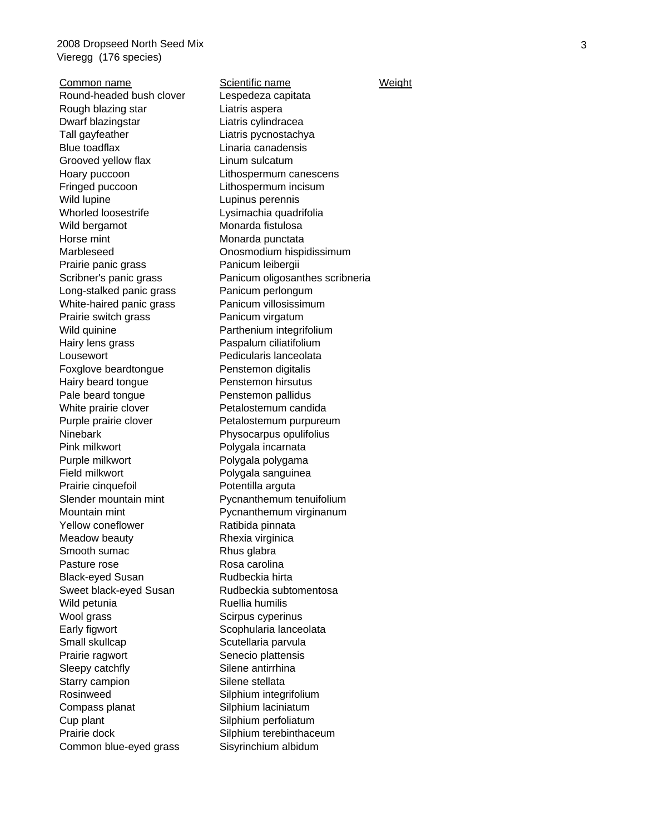Common name **Scientific name** Weight Round-headed bush clover Lespedeza capitata Rough blazing star Liatris aspera Dwarf blazingstar **Liatris cylindracea** Tall gayfeather Liatris pycnostachya Blue toadflax Linaria canadensis Grooved yellow flax **Linum sulcatum** Hoary puccoon Lithospermum canescens Fringed puccoon Lithospermum incisum Wild lupine Lupinus perennis Whorled loosestrife Lysimachia quadrifolia Wild bergamot Monarda fistulosa Horse mint Monarda punctata Marbleseed Onosmodium hispidissimum Prairie panic grass Panicum leibergii Long-stalked panic grass Panicum perlongum White-haired panic grass Panicum villosissimum Prairie switch grass Panicum virgatum Wild quinine **Parthenium integrifolium** Hairy lens grass Paspalum ciliatifolium Lousewort Pedicularis lanceolata Foxglove beardtongue Penstemon digitalis Hairy beard tongue **Penstemon hirsutus** Pale beard tongue **Penstemon pallidus** White prairie clover **Petalostemum candida** Purple prairie clover **Petalostemum** purpureum Ninebark Physocarpus opulifolius Pink milkwort **Polygala** incarnata Purple milkwort Polygala polygama Field milkwort **Polygala sanguinea** Prairie cinquefoil Potentilla arguta Slender mountain mint Pycnanthemum tenuifolium Mountain mint **Nountain mint** Pycnanthemum virginanum Yellow coneflower **Ratibida pinnata** Meadow beauty **Rhexia virginica** Smooth sumac Rhus glabra Pasture rose **Rosa** carolina Black-eyed Susan Rudbeckia hirta Sweet black-eyed Susan Rudbeckia subtomentosa Wild petunia **Ruellia** humilis Wool grass Scirpus cyperinus Early figwort Scophularia lanceolata Small skullcap Scutellaria parvula Prairie ragwort Senecio plattensis Sleepy catchfly Silene antirrhina Starry campion Silene stellata Rosinweed Silphium integrifolium Compass planat Silphium laciniatum Cup plant Silphium perfoliatum Prairie dock Silphium terebinthaceum Common blue-eyed grass Sisyrinchium albidum

Scribner's panic grass Panicum oligosanthes scribneria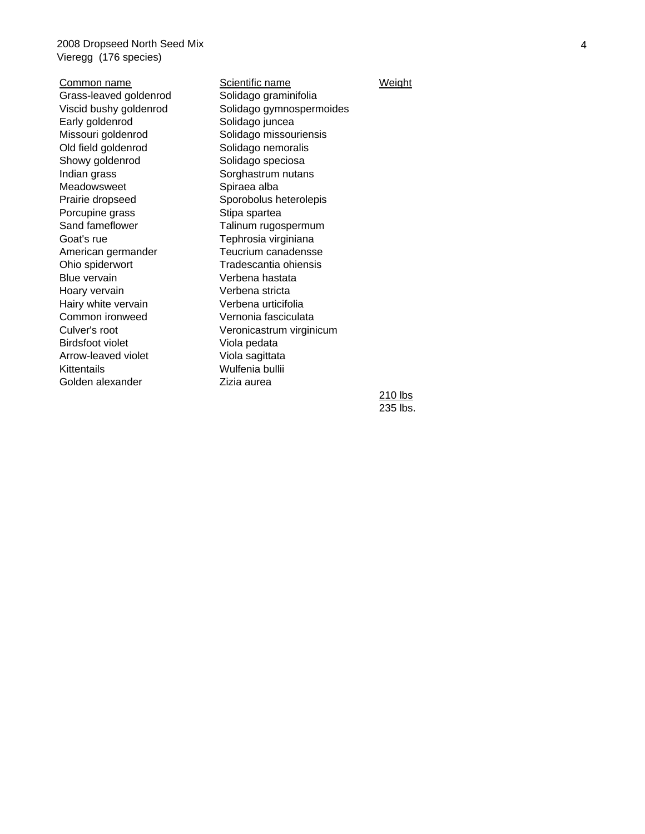| Common name<br>Grass-leaved goldenrod | Scientific name<br>Solidago graminifolia | Weight                      |
|---------------------------------------|------------------------------------------|-----------------------------|
| Viscid bushy goldenrod                | Solidago gymnospermoides                 |                             |
| Early goldenrod                       | Solidago juncea                          |                             |
| Missouri goldenrod                    | Solidago missouriensis                   |                             |
| Old field goldenrod                   | Solidago nemoralis                       |                             |
| Showy goldenrod                       | Solidago speciosa                        |                             |
| Indian grass                          | Sorghastrum nutans                       |                             |
| Meadowsweet                           | Spiraea alba                             |                             |
| Prairie dropseed                      | Sporobolus heterolepis                   |                             |
| Porcupine grass                       | Stipa spartea                            |                             |
| Sand fameflower                       | Talinum rugospermum                      |                             |
| Goat's rue                            | Tephrosia virginiana                     |                             |
| American germander                    | Teucrium canadensse                      |                             |
| Ohio spiderwort                       | Tradescantia ohiensis                    |                             |
| Blue vervain                          | Verbena hastata                          |                             |
| Hoary vervain                         | Verbena stricta                          |                             |
| Hairy white vervain                   | Verbena urticifolia                      |                             |
| Common ironweed                       | Vernonia fasciculata                     |                             |
| Culver's root                         | Veronicastrum virginicum                 |                             |
| Birdsfoot violet                      | Viola pedata                             |                             |
| Arrow-leaved violet                   | Viola sagittata                          |                             |
| Kittentails                           | Wulfenia bullii                          |                             |
| Golden alexander                      | Zizia aurea                              |                             |
|                                       |                                          | $\sim$ $\sim$ $\sim$ $\sim$ |

210 lbs 235 lbs.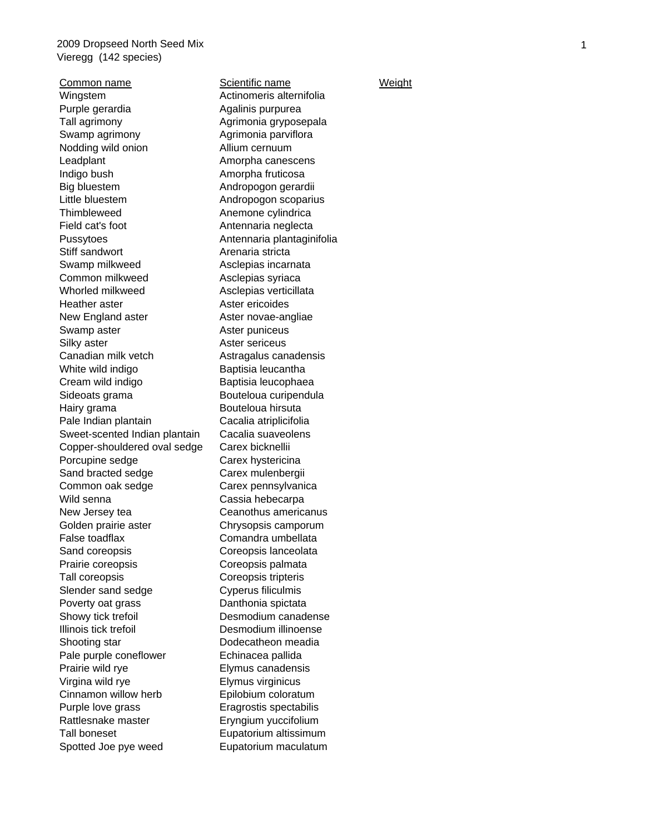Common name **Scientific name** Weight Wingstem **Actinomeris alternifolia** Purple gerardia and algorithm Agalinis purpurea Tall agrimony **Agrimonia** gryposepala Swamp agrimony **Agrimonia** parviflora Nodding wild onion **Allium cernuum** Leadplant **Amorpha canescens** Indigo bush **Amorpha fruticosa** Big bluestem **Andropogon gerardii** Little bluestem Andropogon scoparius Thimbleweed **Anemone cylindrica** Field cat's foot **Antennaria neglecta** Pussytoes **Antennaria plantaginifolia** Stiff sandwort **Arenaria stricta** Swamp milkweed Asclepias incarnata Common milkweed Asclepias syriaca Whorled milkweed Asclepias verticillata Heather aster **Aster ericoides** New England aster **Aster novae-angliae** Swamp aster **Aster puniceus** Silky aster **Aster sericeus** Canadian milk vetch Astragalus canadensis White wild indigo Baptisia leucantha Cream wild indigo Baptisia leucophaea Sideoats grama Bouteloua curipendula Hairy grama **Bouteloua** hirsuta Pale Indian plantain **Cacalia** atriplicifolia Sweet-scented Indian plantain Cacalia suaveolens Copper-shouldered oval sedge Carex bicknellii Porcupine sedge Carex hystericina Sand bracted sedge **Carex mulenbergii** Common oak sedge Carex pennsylvanica Wild senna Cassia hebecarpa New Jersey tea Ceanothus americanus Golden prairie aster Chrysopsis camporum False toadflax Comandra umbellata Sand coreopsis **Coreopsis Coreopsis lanceolata** Prairie coreopsis **Exercise Coreopsis palmata** Tall coreopsis Coreopsis tripteris Slender sand sedge Cyperus filiculmis Poverty oat grass Danthonia spictata Showy tick trefoil **Desmodium canadense** Illinois tick trefoil Desmodium illinoense Shooting star **Dodecatheon** meadia Pale purple coneflower Echinacea pallida Prairie wild rye **Elymus** canadensis Virgina wild rye Elymus virginicus Cinnamon willow herb Epilobium coloratum Purple love grass Eragrostis spectabilis Rattlesnake master Eryngium yuccifolium Tall boneset **Eupatorium** altissimum Spotted Joe pye weed Eupatorium maculatum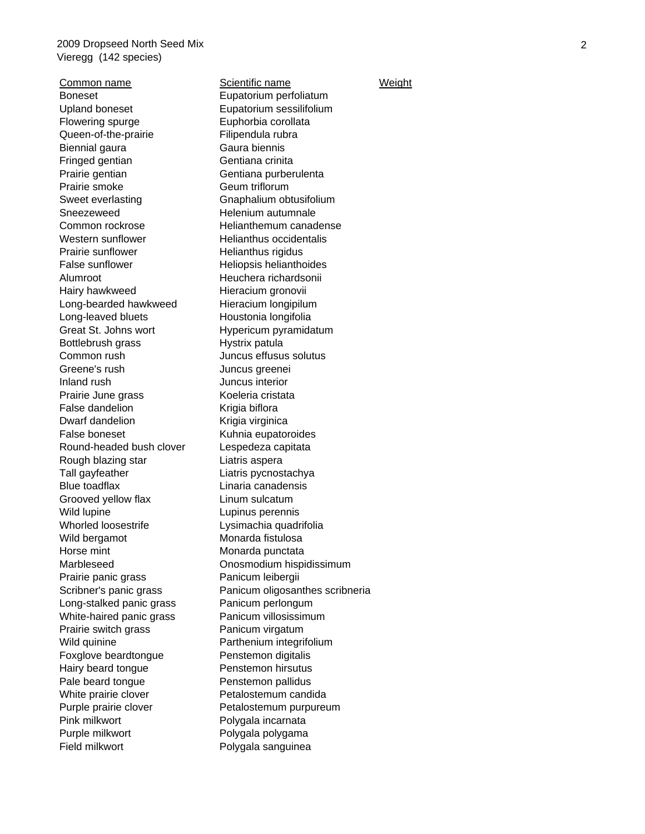Common name **Scientific name** Weight Boneset Eupatorium perfoliatum Upland boneset Eupatorium sessilifolium Flowering spurge Euphorbia corollata Queen-of-the-prairie Filipendula rubra Biennial gaura **Gaura** Gaura biennis Fringed gentian Gentiana crinita Prairie gentian Gentiana purberulenta Prairie smoke Geum triflorum Sweet everlasting Gnaphalium obtusifolium Sneezeweed **Helenium** autumnale Common rockrose Helianthemum canadense Western sunflower Helianthus occidentalis Prairie sunflower Helianthus rigidus False sunflower Heliopsis helianthoides Alumroot Heuchera richardsonii Hairy hawkweed Hieracium gronovii Long-bearded hawkweed Hieracium longipilum Long-leaved bluets Houstonia longifolia Great St. Johns wort **Hypericum pyramidatum** Bottlebrush grass **Hystrix patula** Common rush Juncus effusus solutus Greene's rush Juncus greenei Inland rush Juncus interior Prairie June grass Koeleria cristata False dandelion **Krigia biflora** Dwarf dandelion Krigia virginica False boneset Kuhnia eupatoroides Round-headed bush clover Lespedeza capitata Rough blazing star Liatris aspera Tall gayfeather Liatris pycnostachya Blue toadflax Linaria canadensis Grooved yellow flax **Linum sulcatum** Wild lupine **Lupinus perennis** Whorled loosestrife Lysimachia quadrifolia Wild bergamot Monarda fistulosa Horse mint **Monarda** punctata Prairie panic grass Panicum leibergii Long-stalked panic grass Panicum perlongum White-haired panic grass Panicum villosissimum Prairie switch grass Panicum virgatum Wild quinine **Parthenium** integrifolium Foxglove beardtongue Penstemon digitalis Hairy beard tongue **Penstemon hirsutus** Pale beard tongue **Penstemon pallidus** White prairie clover **Petalostemum candida** Purple prairie clover **Petalostemum purpureum** Pink milkwort **Polygala** incarnata Purple milkwort **Polygala polygama** Field milkwort **Polygala sanguinea** 

Marbleseed Onosmodium hispidissimum Scribner's panic grass Panicum oligosanthes scribneria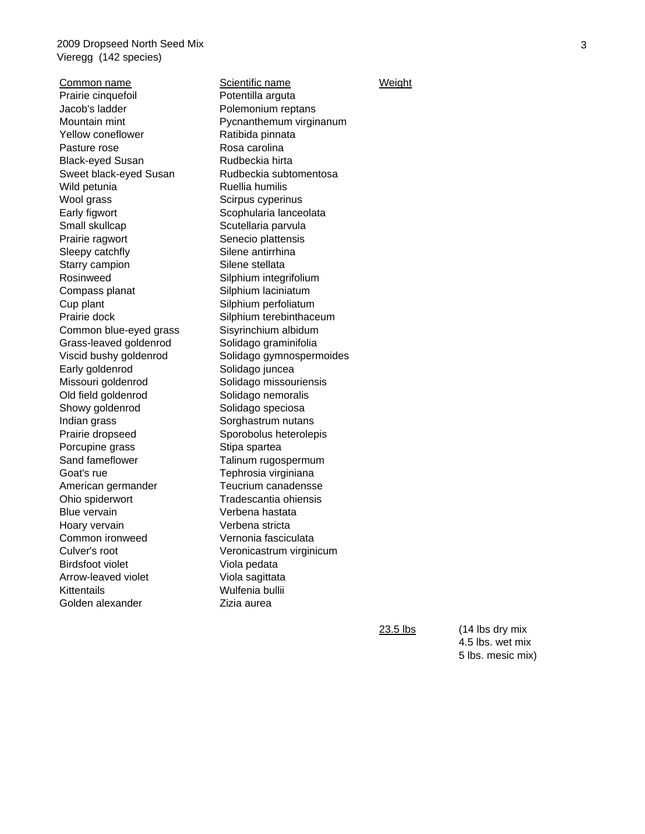Prairie cinquefoil Potentilla arguta Jacob's ladder **Polemonium reptans** Mountain mint Pycnanthemum virginanum Yellow coneflower Ratibida pinnata Pasture rose Rosa carolina Black-eyed Susan Rudbeckia hirta Sweet black-eyed Susan Rudbeckia subtomentosa Wild petunia **Ruellia** humilis Wool grass Scirpus cyperinus Early figwort Scophularia lanceolata Small skullcap Scutellaria parvula Prairie ragwort Senecio plattensis Sleepy catchfly Silene antirrhina Starry campion Silene stellata Rosinweed Silphium integrifolium Compass planat Silphium laciniatum Cup plant Silphium perfoliatum Prairie dock Silphium terebinthaceum Common blue-eyed grass Sisyrinchium albidum Grass-leaved goldenrod Solidago graminifolia Early goldenrod Solidago juncea Missouri goldenrod Solidago missouriensis Old field goldenrod Solidago nemoralis Showy goldenrod Solidago speciosa Indian grass Sorghastrum nutans Prairie dropseed Sporobolus heterolepis Porcupine grass Stipa spartea Sand fameflower Talinum rugospermum Goat's rue **Tephrosia** virginiana American germander Teucrium canadensse Ohio spiderwort Tradescantia ohiensis Blue vervain Verbena hastata Hoary vervain Verbena stricta Common ironweed Vernonia fasciculata Culver's root Veronicastrum virginicum Birdsfoot violet Viola pedata Arrow-leaved violet Viola sagittata Kittentails **Wulfenia bullii** Golden alexander **Example 2** Zizia aurea

Common name **Scientific name** Weight Viscid bushy goldenrod Solidago gymnospermoides

23.5 lbs (14 lbs dry mix 4.5 lbs. wet mix 5 lbs. mesic mix)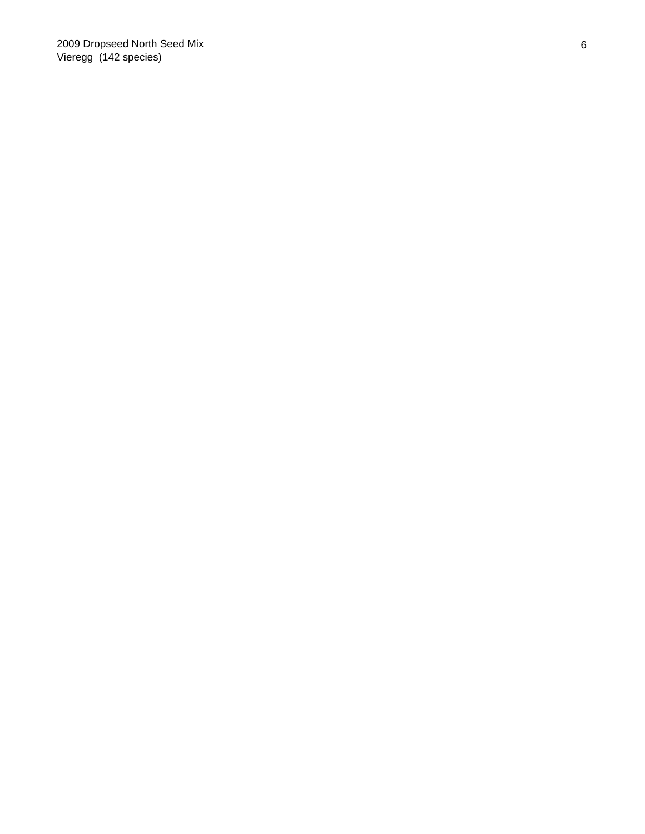$\sim$   $\alpha$  ).